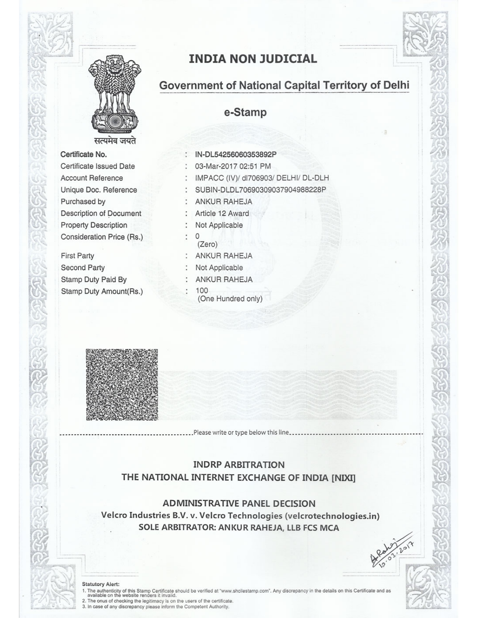

**INDIA NON JUDICIAL** 

## Government of National Capital Territory of Delhi

e-Stamp

## Certificate No. Certificate Issued Date **Account Reference** Unique Doc. Reference Purchased by Description of Document **Property Description** Consideration Price (Rs.)

**First Party Second Party** Stamp Duty Paid By Stamp Duty Amount(Rs.)

## IN-DL54256060353892P

- 03-Mar-2017 02:51 PM
- : IMPACC (IV)/ dl706903/ DELHI/ DL-DLH
- : SUBIN-DLDL70690309037904988228P
	- : ANKUR RAHEJA
- : Article 12 Award
- : Not Applicable
- $\cdot$  0
- (Zero) : ANKUR RAHEJA
- Not Applicable
- : ANKUR RAHEJA
- 100
	- (One Hundred only)



## **INDRP ARBITRATION** THE NATIONAL INTERNET EXCHANGE OF INDIA [NIXI]

................Please write or type below this line......

**ADMINISTRATIVE PANEL DECISION** Velcro Industries B.V. v. Velcro Technologies (velcrotechnologies.in) SOLE ARBITRATOR: ANKUR RAHEJA, LLB FCS MCA

#### **Statutory Alert:**

1. The authenticity of this Stamp Certificate should be verified at "www.shcilestamp.com". Any discrepancy in the details on this Certificate and as available on the website renders it invalid.

2. The onus of checking the legitimacy is on the users of the certificate.<br>3. In case of any discrepancy please inform the Competent Authority.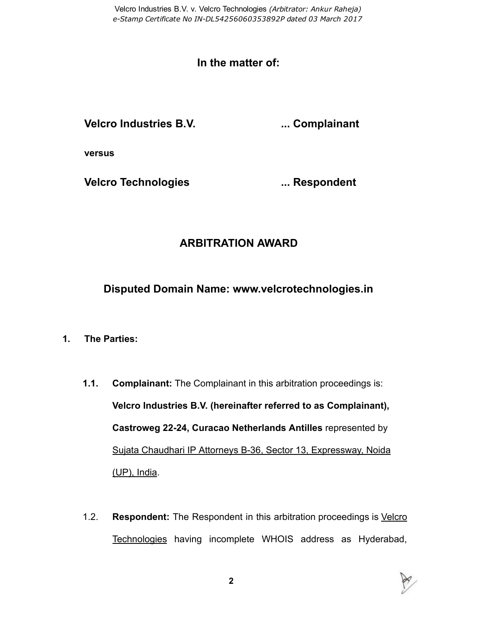Velcro Industries B.V. v. Velcro Technologies (Arbitrator: Ankur Raheja) e-Stamp Certificate No IN-DL54256060353892P dated 03 March 2017

## In the matter of:

Velcro Industries B.V. **....** Complainant

versus

Velcro Technologies **... Seppondent** 

## ARBITRATION AWARD

Disputed Domain Name: www.velcrotechnologies.in

- 1. The Parties:
	- 1.1. Complainant: The Complainant in this arbitration proceedings is: Velcro Industries B.V. (hereinafter referred to as Complainant), Castroweg 22-24, Curacao Netherlands Antilles represented by Sujata Chaudhari IP Attorneys B-36, Sector 13, Expressway, Noida (UP), India.
	- 1.2. Respondent: The Respondent in this arbitration proceedings is Velcro Technologies having incomplete WHOIS address as Hyderabad,

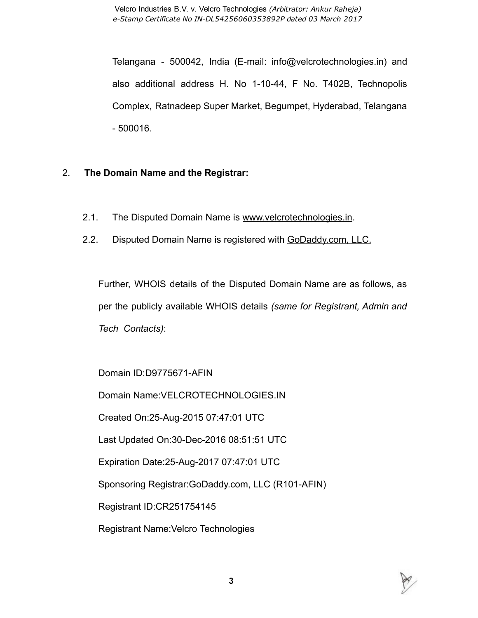Telangana - 500042, India (E-mail: info@velcrotechnologies.in) and also additional address H. No 1-10-44, F No. T402B, Technopolis Complex, Ratnadeep Super Market, Begumpet, Hyderabad, Telangana 500016.

## 2. The Domain Name and the Registrar:

- 2.1. The Disputed Domain Name is www.velcrotechnologies.in.
- 2.2. Disputed Domain Name is registered with GoDaddy.com, LLC.

Further, WHOIS details of the Disputed Domain Name are as follows, as per the publicly available WHOIS details (same for Registrant, Admin and Tech Contacts):

Domain ID:D9775671-AFIN

Domain Name:VELCROTECHNOLOGIES.IN

Created On:25-Aug-2015 07:47:01 UTC

Last Updated On:30-Dec-2016 08:51:51 UTC

Expiration Date: 25-Aug-2017 07:47:01 UTC

Sponsoring Registrar: GoDaddy.com, LLC (R101-AFIN)

Registrant ID:CR251754145

Registrant Name:Velcro Technologies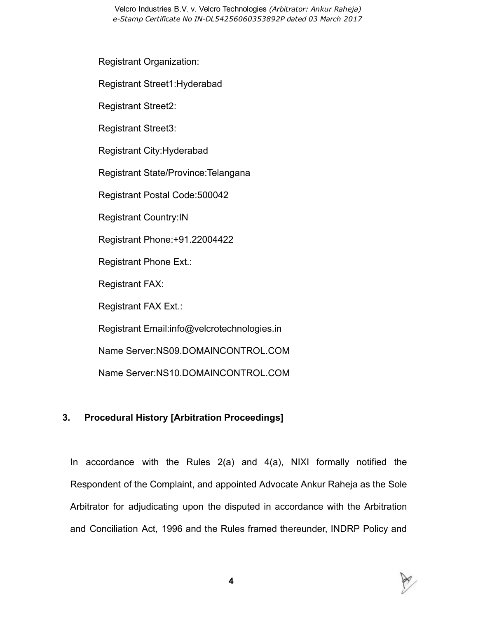Velcro Industries B.V. v. Velcro Technologies (Arbitrator: Ankur Raheja) e-Stamp Certificate No IN-DL54256060353892P dated 03 March 2017

Registrant Organization:

Registrant Street1:Hyderabad

Registrant Street2:

Registrant Street3:

Registrant City:Hyderabad

Registrant State/Province:Telangana

Registrant Postal Code:500042

Registrant Country:IN

Registrant Phone:+91.22004422

Registrant Phone Ext.:

Registrant FAX:

Registrant FAX Ext.:

Registrant Email:info@velcrotechnologies.in

Name Server:NS09.DOMAINCONTROL.COM

Name Server:NS10.DOMAINCONTROL.COM

## 3. Procedural History [Arbitration Proceedings]

In accordance with the Rules 2(a) and 4(a), NIXI formally notified the Respondent of the Complaint, and appointed Advocate Ankur Raheja as the Sole Arbitrator for adjudicating upon the disputed in accordance with the Arbitration and Conciliation Act, 1996 and the Rules framed thereunder, INDRP Policy and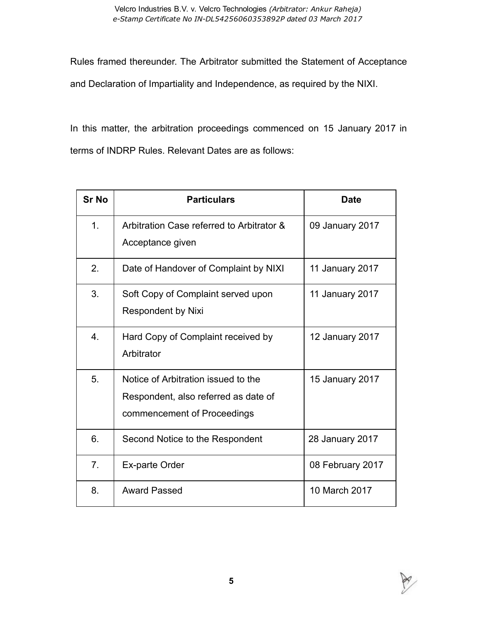Rules framed thereunder. The Arbitrator submitted the Statement of Acceptance and Declaration of Impartiality and Independence, as required by the NIXI.

In this matter, the arbitration proceedings commenced on 15 January 2017 in terms of INDRP Rules. Relevant Dates are as follows:

| <b>Sr No</b>     | <b>Particulars</b>                                                                                         | <b>Date</b>      |
|------------------|------------------------------------------------------------------------------------------------------------|------------------|
| 1.               | Arbitration Case referred to Arbitrator &<br>Acceptance given                                              | 09 January 2017  |
| 2.               | Date of Handover of Complaint by NIXI                                                                      | 11 January 2017  |
| 3.               | Soft Copy of Complaint served upon<br><b>Respondent by Nixi</b>                                            | 11 January 2017  |
| $\overline{4}$ . | Hard Copy of Complaint received by<br>Arbitrator                                                           | 12 January 2017  |
| 5.               | Notice of Arbitration issued to the<br>Respondent, also referred as date of<br>commencement of Proceedings | 15 January 2017  |
| 6.               | Second Notice to the Respondent                                                                            | 28 January 2017  |
| 7 <sub>1</sub>   | Ex-parte Order                                                                                             | 08 February 2017 |
| 8.               | <b>Award Passed</b>                                                                                        | 10 March 2017    |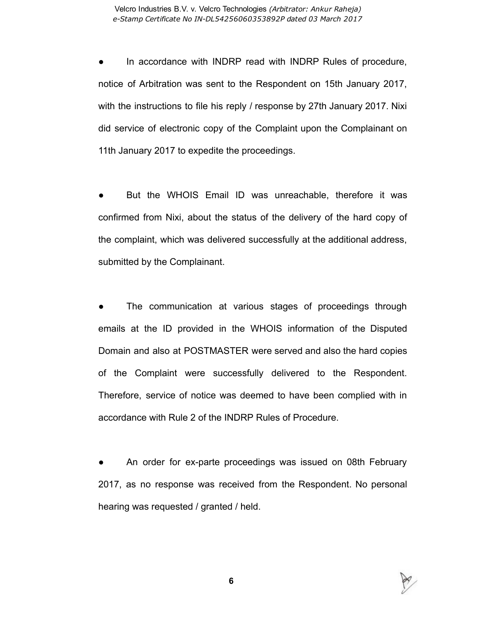In accordance with INDRP read with INDRP Rules of procedure, notice of Arbitration was sent to the Respondent on 15th January 2017, with the instructions to file his reply / response by 27th January 2017. Nixi did service of electronic copy of the Complaint upon the Complainant on 11th January 2017 to expedite the proceedings.

But the WHOIS Email ID was unreachable, therefore it was confirmed from Nixi, about the status of the delivery of the hard copy of the complaint, which was delivered successfully at the additional address, submitted by the Complainant.

The communication at various stages of proceedings through emails at the ID provided in the WHOIS information of the Disputed Domain and also at POSTMASTER were served and also the hard copies of the Complaint were successfully delivered to the Respondent. Therefore, service of notice was deemed to have been complied with in accordance with Rule 2 of the INDRP Rules of Procedure.

An order for ex-parte proceedings was issued on 08th February 2017, as no response was received from the Respondent. No personal hearing was requested / granted / held.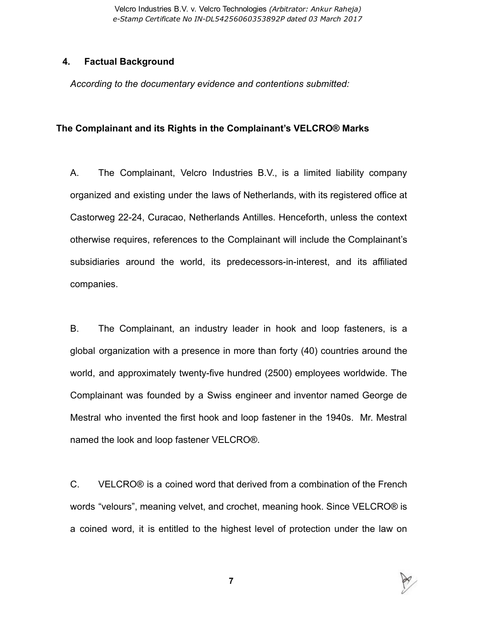Velcro Industries B.V. v. Velcro Technologies (Arbitrator: Ankur Raheja) e-Stamp Certificate No IN-DL54256060353892P dated 03 March 2017

#### 4. Factual Background

According to the documentary evidence and contentions submitted:

#### The Complainant and its Rights in the Complainant's VELCRO® Marks

A. The Complainant, Velcro Industries B.V., is a limited liability company organized and existing under the laws of Netherlands, with its registered office at Castorweg 22-24, Curacao, Netherlands Antilles. Henceforth, unless the context otherwise requires, references to the Complainant will include the Complainant's subsidiaries around the world, its predecessors-in-interest, and its affiliated companies.

B. The Complainant, an industry leader in hook and loop fasteners, is a global organization with a presence in more than forty (40) countries around the world, and approximately twenty-five hundred (2500) employees worldwide. The Complainant was founded by a Swiss engineer and inventor named George de Mestral who invented the first hook and loop fastener in the 1940s. Mr. Mestral named the look and loop fastener VELCRO®.

C. VELCRO® is a coined word that derived from a combination of the French words "velours", meaning velvet, and crochet, meaning hook. Since VELCRO® is a coined word, it is entitled to the highest level of protection under the law on

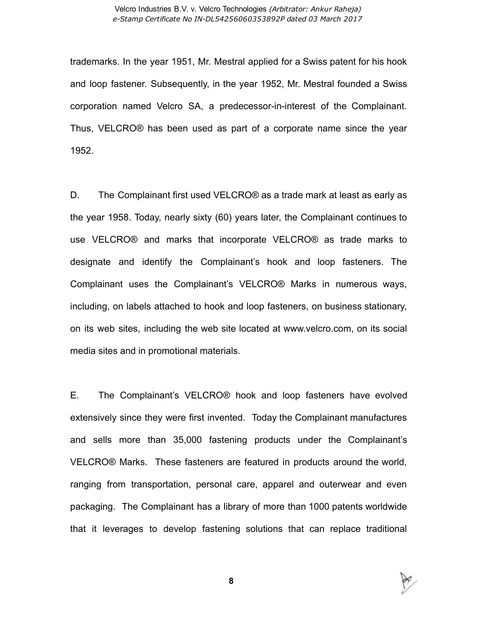trademarks. In the year 1951, Mr. Mestral applied for a Swiss patent for his hook and loop fastener. Subsequently, in the year 1952, Mr. Mestral founded a Swiss corporation named Velcro SA, a predecessor-in-interest of the Complainant. Thus, VELCRO® has been used as part of a corporate name since the year 1952.

D. The Complainant first used VELCRO® as a trade mark at least as early as the year 1958. Today, nearly sixty (60) years later, the Complainant continues to use VELCRO® and marks that incorporate VELCRO® as trade marks to designate and identify the Complainant's hook and loop fasteners. The Complainant uses the Complainant's VELCRO® Marks in numerous ways, including, on labels attached to hook and loop fasteners, on business stationary, on its web sites, including the web site located at www.velcro.com, on its social media sites and in promotional materials.

E. The Complainant's VELCRO® hook and loop fasteners have evolved extensively since they were first invented. Today the Complainant manufactures and sells more than 35,000 fastening products under the Complainant's VELCRO® Marks. These fasteners are featured in products around the world, ranging from transportation, personal care, apparel and outerwear and even packaging. The Complainant has a library of more than 1000 patents worldwide that it leverages to develop fastening solutions that can replace traditional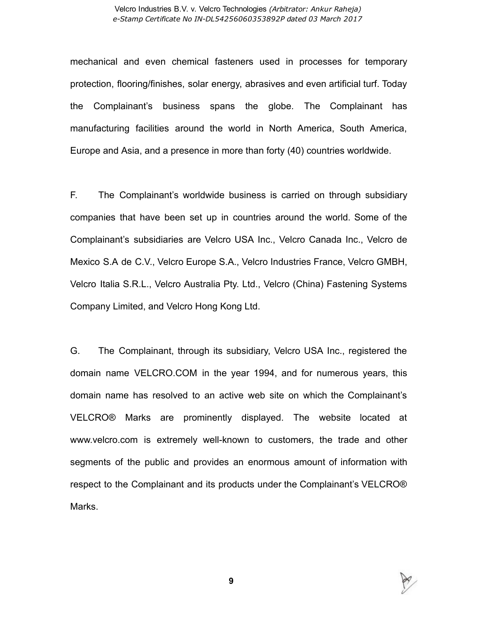#### Velcro Industries B.V. v. Velcro Technologies (Arbitrator: Ankur Raheja) e-Stamp Certificate No IN-DL54256060353892P dated 03 March 2017

mechanical and even chemical fasteners used in processes for temporary protection, flooring/finishes, solar energy, abrasives and even artificial turf. Today the Complainant's business spans the globe. The Complainant has manufacturing facilities around the world in North America, South America, Europe and Asia, and a presence in more than forty (40) countries worldwide.

F. The Complainant's worldwide business is carried on through subsidiary companies that have been set up in countries around the world. Some of the Complainant's subsidiaries are Velcro USA Inc., Velcro Canada Inc., Velcro de Mexico S.A de C.V., Velcro Europe S.A., Velcro Industries France, Velcro GMBH, Velcro Italia S.R.L., Velcro Australia Pty. Ltd., Velcro (China) Fastening Systems Company Limited, and Velcro Hong Kong Ltd.

G. The Complainant, through its subsidiary, Velcro USA Inc., registered the domain name VELCRO.COM in the year 1994, and for numerous years, this domain name has resolved to an active web site on which the Complainant's VELCRO® Marks are prominently displayed. The website located at www.velcro.com is extremely well-known to customers, the trade and other segments of the public and provides an enormous amount of information with respect to the Complainant and its products under the Complainant's VELCRO® Marks.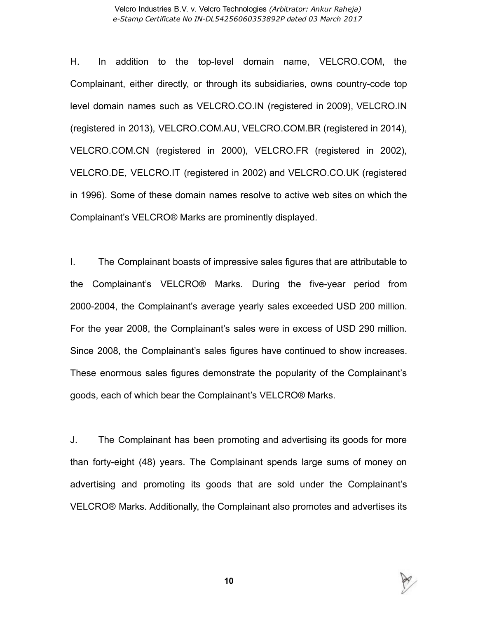H. In addition to the top-level domain name, VELCRO.COM, the Complainant, either directly, or through its subsidiaries, owns countrycode top level domain names such as VELCRO.CO.IN (registered in 2009), VELCRO.IN (registered in 2013), VELCRO.COM.AU, VELCRO.COM.BR (registered in 2014), VELCRO.COM.CN (registered in 2000), VELCRO.FR (registered in 2002), VELCRO.DE, VELCRO.IT (registered in 2002) and VELCRO.CO.UK (registered in 1996). Some of these domain names resolve to active web sites on which the Complainant's VELCRO® Marks are prominently displayed.

I. The Complainant boasts of impressive sales figures that are attributable to the Complainant's VELCRO<sup>®</sup> Marks. During the five-year period from 2000-2004, the Complainant's average yearly sales exceeded USD 200 million. For the year 2008, the Complainant's sales were in excess of USD 290 million. Since 2008, the Complainant's sales figures have continued to show increases. These enormous sales figures demonstrate the popularity of the Complainant's goods, each of which bear the Complainant's VELCRO® Marks.

J. The Complainant has been promoting and advertising its goods for more than forty-eight (48) years. The Complainant spends large sums of money on advertising and promoting its goods that are sold under the Complainant's VELCRO® Marks. Additionally, the Complainant also promotes and advertises its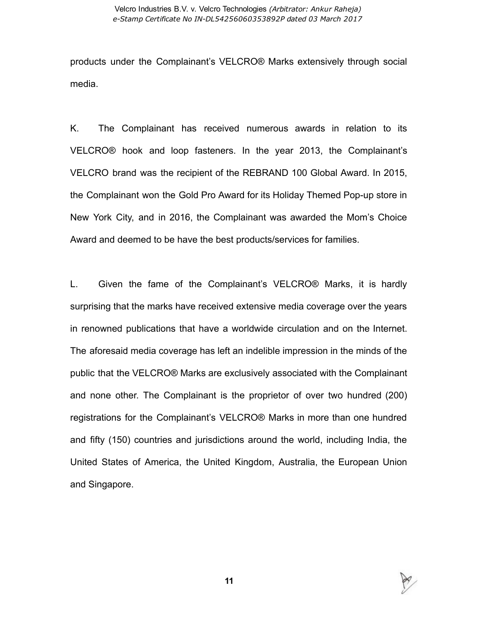products under the Complainant's VELCRO® Marks extensively through social media.

K. The Complainant has received numerous awards in relation to its VELCRO® hook and loop fasteners. In the year 2013, the Complainant's VELCRO brand was the recipient of the REBRAND 100 Global Award. In 2015, the Complainant won the Gold Pro Award for its Holiday Themed Pop-up store in New York City, and in 2016, the Complainant was awarded the Mom's Choice Award and deemed to be have the best products/services for families.

L. Given the fame of the Complainant's VELCRO® Marks, it is hardly surprising that the marks have received extensive media coverage over the years in renowned publications that have a worldwide circulation and on the Internet. The aforesaid media coverage has left an indelible impression in the minds of the public that the VELCRO® Marks are exclusively associated with the Complainant and none other. The Complainant is the proprietor of over two hundred (200) registrations for the Complainant's VELCRO® Marks in more than one hundred and fifty (150) countries and jurisdictions around the world, including India, the United States of America, the United Kingdom, Australia, the European Union and Singapore.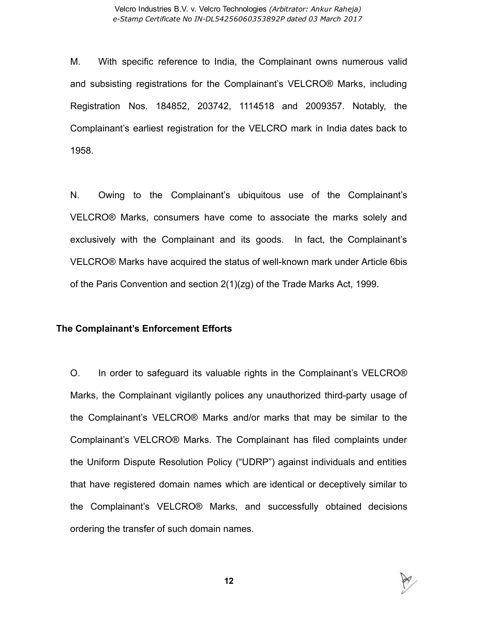M. With specific reference to India, the Complainant owns numerous valid and subsisting registrations for the Complainant's VELCRO® Marks, including Registration Nos. 184852, 203742, 1114518 and 2009357. Notably, the Complainant's earliest registration for the VELCRO mark in India dates back to 1958.

N. Owing to the Complainant's ubiquitous use of the Complainant's VELCRO® Marks, consumers have come to associate the marks solely and exclusively with the Complainant and its goods. In fact, the Complainant's VELCRO® Marks have acquired the status of well-known mark under Article 6bis of the Paris Convention and section 2(1)(zg) of the Trade Marks Act, 1999.

#### The Complainant's Enforcement Efforts

O. In order to safeguard its valuable rights in the Complainant's VELCRO® Marks, the Complainant vigilantly polices any unauthorized third-party usage of the Complainant's VELCRO® Marks and/or marks that may be similar to the Complainant's VELCRO® Marks. The Complainant has filed complaints under the Uniform Dispute Resolution Policy ("UDRP") against individuals and entities that have registered domain names which are identical or deceptively similar to the Complainant's VELCRO® Marks, and successfully obtained decisions ordering the transfer of such domain names.

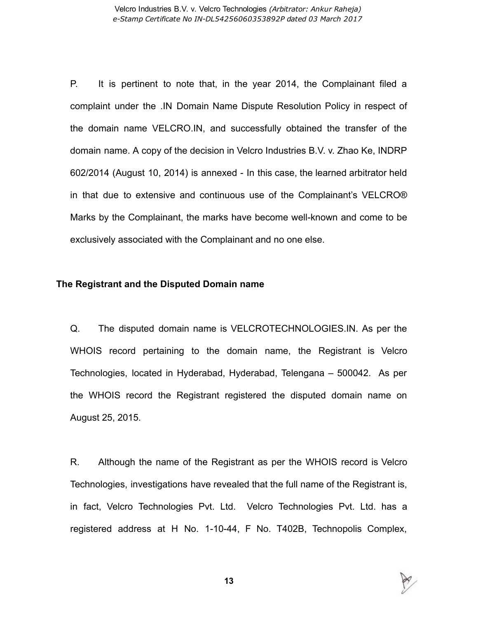P. It is pertinent to note that, in the year 2014, the Complainant filed a complaint under the .IN Domain Name Dispute Resolution Policy in respect of the domain name VELCRO.IN, and successfully obtained the transfer of the domain name. A copy of the decision in Velcro Industries B.V. v. Zhao Ke, INDRP 602/2014 (August 10, 2014) is annexed In this case, the learned arbitrator held in that due to extensive and continuous use of the Complainant's VELCRO® Marks by the Complainant, the marks have become well-known and come to be exclusively associated with the Complainant and no one else.

#### The Registrant and the Disputed Domain name

Q. The disputed domain name is VELCROTECHNOLOGIES.IN. As per the WHOIS record pertaining to the domain name, the Registrant is Velcro Technologies, located in Hyderabad, Hyderabad, Telengana – 500042. As per the WHOIS record the Registrant registered the disputed domain name on August 25, 2015.

R. Although the name of the Registrant as per the WHOIS record is Velcro Technologies, investigations have revealed that the full name of the Registrant is, in fact, Velcro Technologies Pvt. Ltd. Velcro Technologies Pvt. Ltd. has a registered address at H No. 1-10-44, F No. T402B, Technopolis Complex,

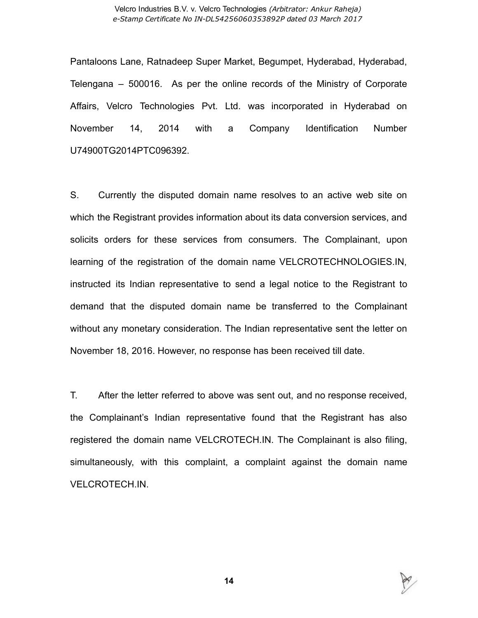Pantaloons Lane, Ratnadeep Super Market, Begumpet, Hyderabad, Hyderabad, Telengana – 500016. As per the online records of the Ministry of Corporate Affairs, Velcro Technologies Pvt. Ltd. was incorporated in Hyderabad on November 14, 2014 with a Company Identification Number U74900TG2014PTC096392.

S. Currently the disputed domain name resolves to an active web site on which the Registrant provides information about its data conversion services, and solicits orders for these services from consumers. The Complainant, upon learning of the registration of the domain name VELCROTECHNOLOGIES.IN, instructed its Indian representative to send a legal notice to the Registrant to demand that the disputed domain name be transferred to the Complainant without any monetary consideration. The Indian representative sent the letter on November 18, 2016. However, no response has been received till date.

T. After the letter referred to above was sent out, and no response received, the Complainant's Indian representative found that the Registrant has also registered the domain name VELCROTECH.IN. The Complainant is also filing, simultaneously, with this complaint, a complaint against the domain name VELCROTECH.IN.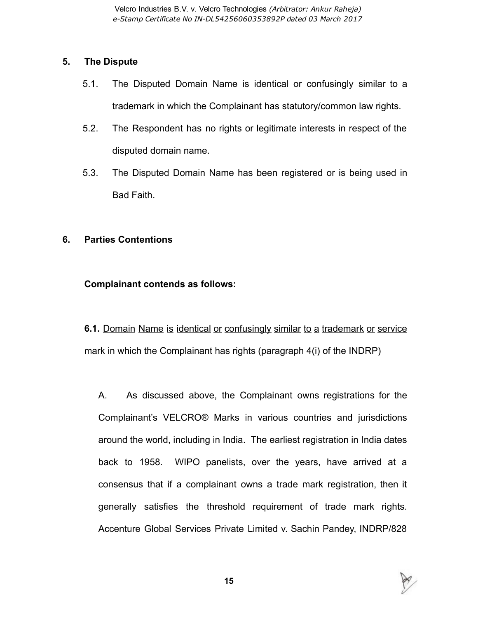## 5. The Dispute

- 5.1. The Disputed Domain Name is identical or confusingly similar to a trademark in which the Complainant has statutory/common law rights.
- 5.2. The Respondent has no rights or legitimate interests in respect of the disputed domain name.
- 5.3. The Disputed Domain Name has been registered or is being used in Bad Faith.

## 6. Parties Contentions

## Complainant contends as follows:

6.1. Domain Name is identical or confusingly similar to a trademark or service mark in which the Complainant has rights (paragraph 4(i) of the INDRP)

A. As discussed above, the Complainant owns registrations for the Complainant's VELCRO® Marks in various countries and jurisdictions around the world, including in India. The earliest registration in India dates back to 1958. WIPO panelists, over the years, have arrived at a consensus that if a complainant owns a trade mark registration, then it generally satisfies the threshold requirement of trade mark rights. Accenture Global Services Private Limited v. Sachin Pandey, INDRP/828

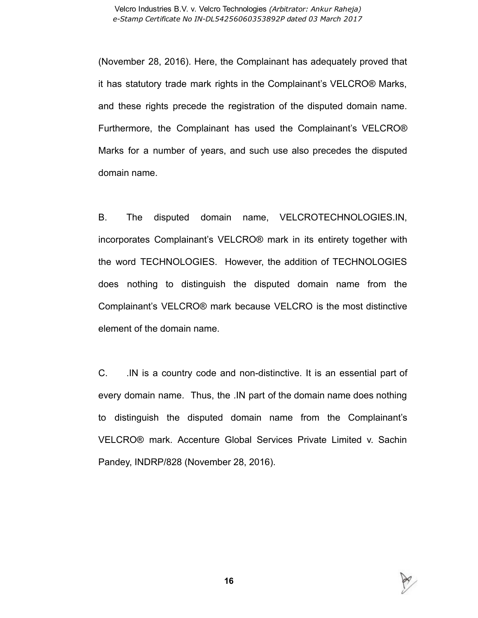(November 28, 2016). Here, the Complainant has adequately proved that it has statutory trade mark rights in the Complainant's VELCRO® Marks, and these rights precede the registration of the disputed domain name. Furthermore, the Complainant has used the Complainant's VELCRO® Marks for a number of years, and such use also precedes the disputed domain name.

B. The disputed domain name, VELCROTECHNOLOGIES.IN, incorporates Complainant's VELCRO® mark in its entirety together with the word TECHNOLOGIES. However, the addition of TECHNOLOGIES does nothing to distinguish the disputed domain name from the Complainant's VELCRO® mark because VELCRO is the most distinctive element of the domain name.

C. IN is a country code and non-distinctive. It is an essential part of every domain name. Thus, the .IN part of the domain name does nothing to distinguish the disputed domain name from the Complainant's VELCRO® mark. Accenture Global Services Private Limited v. Sachin Pandey, INDRP/828 (November 28, 2016).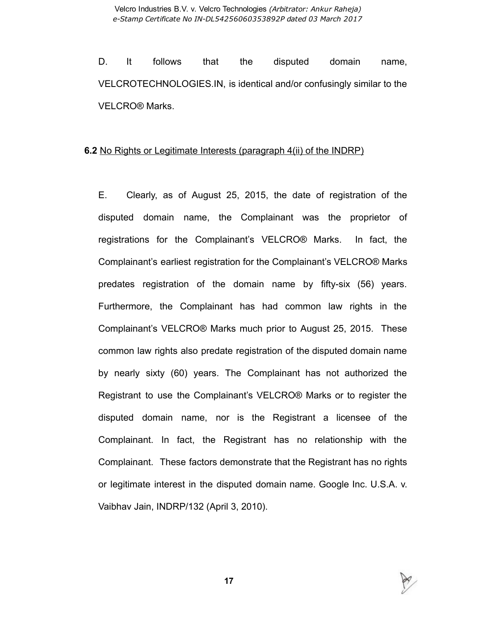D. It follows that the disputed domain name, VELCROTECHNOLOGIES.IN, is identical and/or confusingly similar to the VELCRO® Marks.

#### 6.2 No Rights or Legitimate Interests (paragraph 4(ii) of the INDRP)

E. Clearly, as of August 25, 2015, the date of registration of the disputed domain name, the Complainant was the proprietor of registrations for the Complainant's VELCRO® Marks. In fact, the Complainant's earliest registration for the Complainant's VELCRO® Marks predates registration of the domain name by fiftysix (56) years. Furthermore, the Complainant has had common law rights in the Complainant's VELCRO® Marks much prior to August 25, 2015. These common law rights also predate registration of the disputed domain name by nearly sixty (60) years. The Complainant has not authorized the Registrant to use the Complainant's VELCRO® Marks or to register the disputed domain name, nor is the Registrant a licensee of the Complainant. In fact, the Registrant has no relationship with the Complainant. These factors demonstrate that the Registrant has no rights or legitimate interest in the disputed domain name. Google Inc. U.S.A. v. Vaibhav Jain, INDRP/132 (April 3, 2010).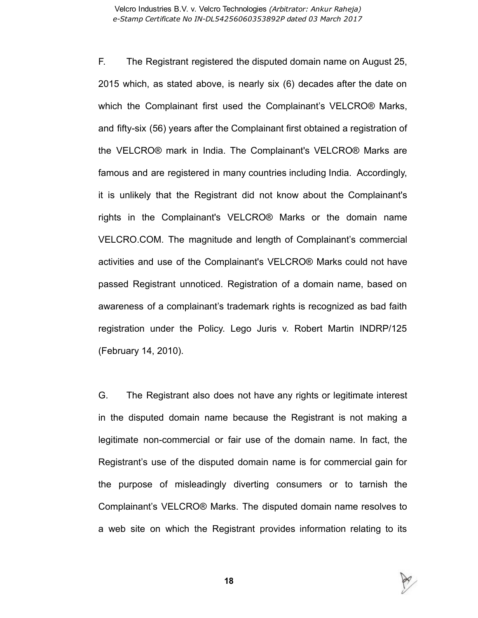F. The Registrant registered the disputed domain name on August 25, 2015 which, as stated above, is nearly six (6) decades after the date on which the Complainant first used the Complainant's VELCRO® Marks, and fifty-six (56) years after the Complainant first obtained a registration of the VELCRO® mark in India. The Complainant's VELCRO® Marks are famous and are registered in many countries including India. Accordingly, it is unlikely that the Registrant did not know about the Complainant's rights in the Complainant's VELCRO® Marks or the domain name VELCRO.COM. The magnitude and length of Complainant's commercial activities and use of the Complainant's VELCRO® Marks could not have passed Registrant unnoticed. Registration of a domain name, based on awareness of a complainant's trademark rights is recognized as bad faith registration under the Policy. Lego Juris v. Robert Martin INDRP/125 (February 14, 2010).

G. The Registrant also does not have any rights or legitimate interest in the disputed domain name because the Registrant is not making a legitimate non-commercial or fair use of the domain name. In fact, the Registrant's use of the disputed domain name is for commercial gain for the purpose of misleadingly diverting consumers or to tarnish the Complainant's VELCRO® Marks. The disputed domain name resolves to a web site on which the Registrant provides information relating to its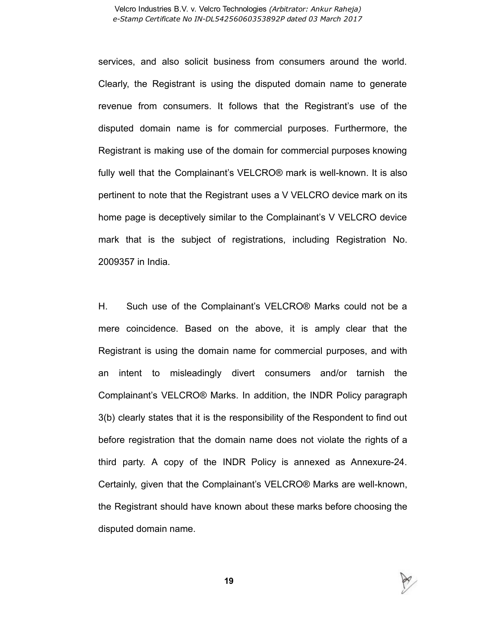services, and also solicit business from consumers around the world. Clearly, the Registrant is using the disputed domain name to generate revenue from consumers. It follows that the Registrant's use of the disputed domain name is for commercial purposes. Furthermore, the Registrant is making use of the domain for commercial purposes knowing fully well that the Complainant's VELCRO® mark is well-known. It is also pertinent to note that the Registrant uses a V VELCRO device mark on its home page is deceptively similar to the Complainant's V VELCRO device mark that is the subject of registrations, including Registration No. 2009357 in India.

H. Such use of the Complainant's VELCRO® Marks could not be a mere coincidence. Based on the above, it is amply clear that the Registrant is using the domain name for commercial purposes, and with an intent to misleadingly divert consumers and/or tarnish the Complainant's VELCRO® Marks. In addition, the INDR Policy paragraph 3(b) clearly states that it is the responsibility of the Respondent to find out before registration that the domain name does not violate the rights of a third party. A copy of the INDR Policy is annexed as Annexure-24. Certainly, given that the Complainant's VELCRO® Marks are well-known, the Registrant should have known about these marks before choosing the disputed domain name.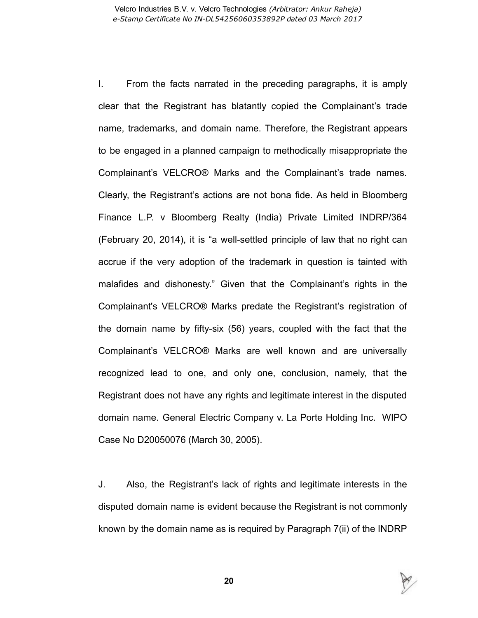I. From the facts narrated in the preceding paragraphs, it is amply clear that the Registrant has blatantly copied the Complainant's trade name, trademarks, and domain name. Therefore, the Registrant appears to be engaged in a planned campaign to methodically misappropriate the Complainant's VELCRO® Marks and the Complainant's trade names. Clearly, the Registrant's actions are not bona fide. As held in Bloomberg Finance L.P. v Bloomberg Realty (India) Private Limited INDRP/364 (February 20, 2014), it is "a well-settled principle of law that no right can accrue if the very adoption of the trademark in question is tainted with malafides and dishonesty." Given that the Complainant's rights in the Complainant's VELCRO® Marks predate the Registrant's registration of the domain name by fifty-six (56) years, coupled with the fact that the Complainant's VELCRO® Marks are well known and are universally recognized lead to one, and only one, conclusion, namely, that the Registrant does not have any rights and legitimate interest in the disputed domain name. General Electric Company v. La Porte Holding Inc. WIPO Case No D20050076 (March 30, 2005).

J. Also, the Registrant's lack of rights and legitimate interests in the disputed domain name is evident because the Registrant is not commonly known by the domain name as is required by Paragraph 7(ii) of the INDRP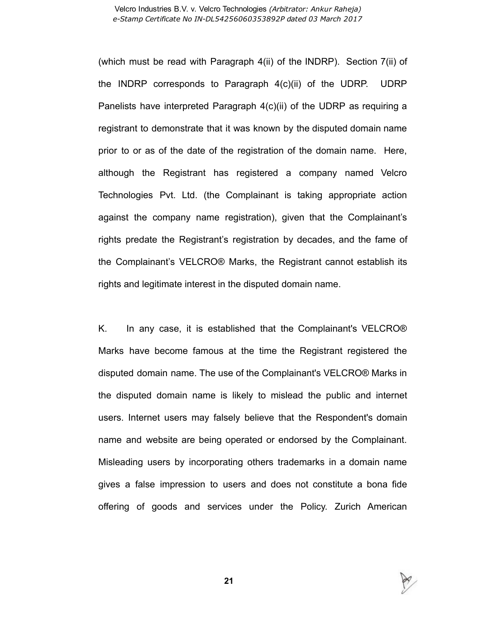#### Velcro Industries B.V. v. Velcro Technologies (Arbitrator: Ankur Raheja) e-Stamp Certificate No IN-DL54256060353892P dated 03 March 2017

(which must be read with Paragraph 4(ii) of the INDRP). Section 7(ii) of the INDRP corresponds to Paragraph 4(c)(ii) of the UDRP. UDRP Panelists have interpreted Paragraph 4(c)(ii) of the UDRP as requiring a registrant to demonstrate that it was known by the disputed domain name prior to or as of the date of the registration of the domain name. Here, although the Registrant has registered a company named Velcro Technologies Pvt. Ltd. (the Complainant is taking appropriate action against the company name registration), given that the Complainant's rights predate the Registrant's registration by decades, and the fame of the Complainant's VELCRO® Marks, the Registrant cannot establish its rights and legitimate interest in the disputed domain name.

K. In any case, it is established that the Complainant's VELCRO® Marks have become famous at the time the Registrant registered the disputed domain name. The use of the Complainant's VELCRO® Marks in the disputed domain name is likely to mislead the public and internet users. Internet users may falsely believe that the Respondent's domain name and website are being operated or endorsed by the Complainant. Misleading users by incorporating others trademarks in a domain name gives a false impression to users and does not constitute a bona fide offering of goods and services under the Policy. Zurich American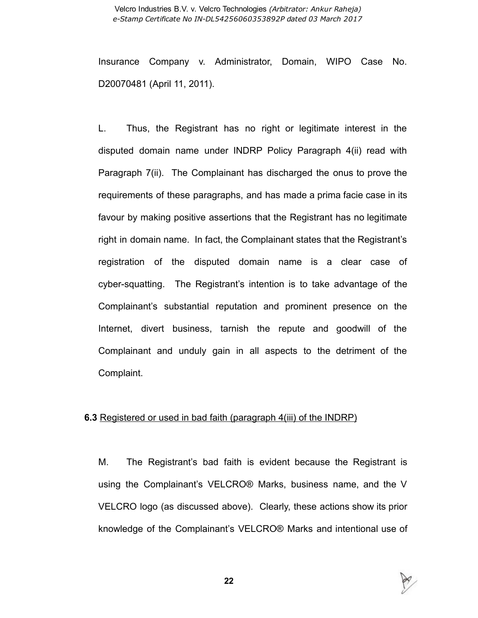Insurance Company v. Administrator, Domain, WIPO Case No. D20070481 (April 11, 2011).

L. Thus, the Registrant has no right or legitimate interest in the disputed domain name under INDRP Policy Paragraph 4(ii) read with Paragraph 7(ii). The Complainant has discharged the onus to prove the requirements of these paragraphs, and has made a prima facie case in its favour by making positive assertions that the Registrant has no legitimate right in domain name. In fact, the Complainant states that the Registrant's registration of the disputed domain name is a clear case of cyber-squatting. The Registrant's intention is to take advantage of the Complainant's substantial reputation and prominent presence on the Internet, divert business, tarnish the repute and goodwill of the Complainant and unduly gain in all aspects to the detriment of the Complaint.

#### **6.3** Registered or used in bad faith (paragraph 4(iii) of the INDRP)

M. The Registrant's bad faith is evident because the Registrant is using the Complainant's VELCRO® Marks, business name, and the V VELCRO logo (as discussed above). Clearly, these actions show its prior knowledge of the Complainant's VELCRO® Marks and intentional use of

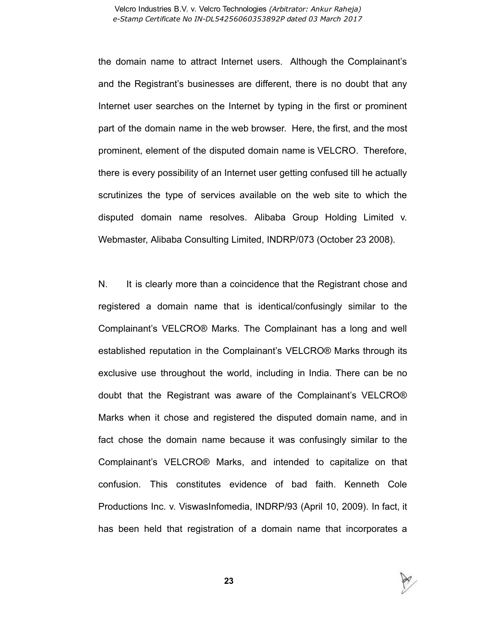#### Velcro Industries B.V. v. Velcro Technologies (Arbitrator: Ankur Raheja) e-Stamp Certificate No IN-DL54256060353892P dated 03 March 2017

the domain name to attract Internet users. Although the Complainant's and the Registrant's businesses are different, there is no doubt that any Internet user searches on the Internet by typing in the first or prominent part of the domain name in the web browser. Here, the first, and the most prominent, element of the disputed domain name is VELCRO. Therefore, there is every possibility of an Internet user getting confused till he actually scrutinizes the type of services available on the web site to which the disputed domain name resolves. Alibaba Group Holding Limited v. Webmaster, Alibaba Consulting Limited, INDRP/073 (October 23 2008).

N. It is clearly more than a coincidence that the Registrant chose and registered a domain name that is identical/confusingly similar to the Complainant's VELCRO® Marks. The Complainant has a long and well established reputation in the Complainant's VELCRO® Marks through its exclusive use throughout the world, including in India. There can be no doubt that the Registrant was aware of the Complainant's VELCRO® Marks when it chose and registered the disputed domain name, and in fact chose the domain name because it was confusingly similar to the Complainant's VELCRO® Marks, and intended to capitalize on that confusion. This constitutes evidence of bad faith. Kenneth Cole Productions Inc. v. ViswasInfomedia, INDRP/93 (April 10, 2009). In fact, it has been held that registration of a domain name that incorporates a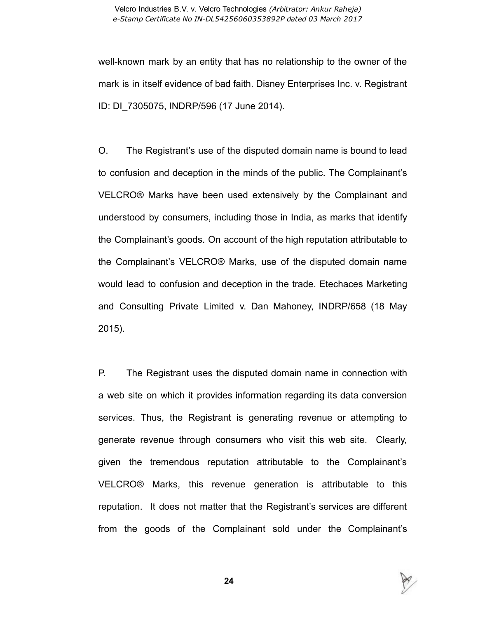well-known mark by an entity that has no relationship to the owner of the mark is in itself evidence of bad faith. Disney Enterprises Inc. v. Registrant ID: DI\_7305075, INDRP/596 (17 June 2014).

O. The Registrant's use of the disputed domain name is bound to lead to confusion and deception in the minds of the public. The Complainant's VELCRO® Marks have been used extensively by the Complainant and understood by consumers, including those in India, as marks that identify the Complainant's goods. On account of the high reputation attributable to the Complainant's VELCRO® Marks, use of the disputed domain name would lead to confusion and deception in the trade. Etechaces Marketing and Consulting Private Limited v. Dan Mahoney, INDRP/658 (18 May 2015).

P. The Registrant uses the disputed domain name in connection with a web site on which it provides information regarding its data conversion services. Thus, the Registrant is generating revenue or attempting to generate revenue through consumers who visit this web site. Clearly, given the tremendous reputation attributable to the Complainant's VELCRO® Marks, this revenue generation is attributable to this reputation. It does not matter that the Registrant's services are different from the goods of the Complainant sold under the Complainant's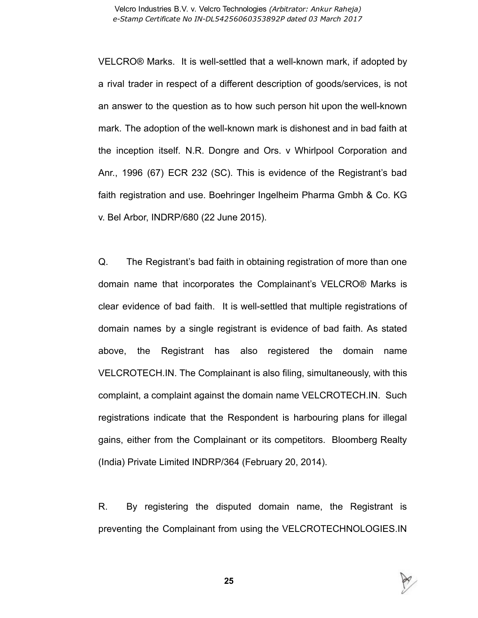VELCRO® Marks. It is well-settled that a well-known mark, if adopted by a rival trader in respect of a different description of goods/services, is not an answer to the question as to how such person hit upon the well-known mark. The adoption of the well-known mark is dishonest and in bad faith at the inception itself. N.R. Dongre and Ors. v Whirlpool Corporation and Anr., 1996 (67) ECR 232 (SC). This is evidence of the Registrant's bad faith registration and use. Boehringer Ingelheim Pharma Gmbh & Co. KG v. Bel Arbor, INDRP/680 (22 June 2015).

Q. The Registrant's bad faith in obtaining registration of more than one domain name that incorporates the Complainant's VELCRO® Marks is clear evidence of bad faith. It is wellsettled that multiple registrations of domain names by a single registrant is evidence of bad faith. As stated above, the Registrant has also registered the domain name VELCROTECH.IN. The Complainant is also filing, simultaneously, with this complaint, a complaint against the domain name VELCROTECH.IN. Such registrations indicate that the Respondent is harbouring plans for illegal gains, either from the Complainant or its competitors. Bloomberg Realty (India) Private Limited INDRP/364 (February 20, 2014).

R. By registering the disputed domain name, the Registrant is preventing the Complainant from using the VELCROTECHNOLOGIES.IN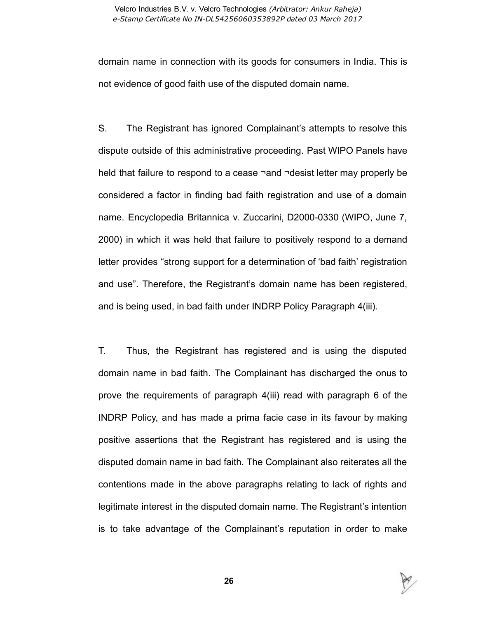domain name in connection with its goods for consumers in India. This is not evidence of good faith use of the disputed domain name.

S. The Registrant has ignored Complainant's attempts to resolve this dispute outside of this administrative proceeding. Past WIPO Panels have held that failure to respond to a cease ¬and ¬desist letter may properly be considered a factor in finding bad faith registration and use of a domain name. Encyclopedia Britannica v. Zuccarini, D2000-0330 (WIPO, June 7, 2000) in which it was held that failure to positively respond to a demand letter provides "strong support for a determination of 'bad faith' registration and use". Therefore, the Registrant's domain name has been registered, and is being used, in bad faith under INDRP Policy Paragraph 4(iii).

T. Thus, the Registrant has registered and is using the disputed domain name in bad faith. The Complainant has discharged the onus to prove the requirements of paragraph 4(iii) read with paragraph 6 of the INDRP Policy, and has made a prima facie case in its favour by making positive assertions that the Registrant has registered and is using the disputed domain name in bad faith. The Complainant also reiterates all the contentions made in the above paragraphs relating to lack of rights and legitimate interest in the disputed domain name. The Registrant's intention is to take advantage of the Complainant's reputation in order to make

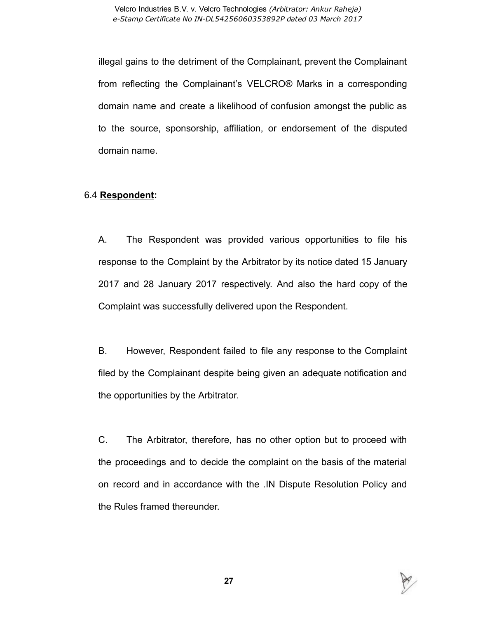illegal gains to the detriment of the Complainant, prevent the Complainant from reflecting the Complainant's VELCRO® Marks in a corresponding domain name and create a likelihood of confusion amongst the public as to the source, sponsorship, affiliation, or endorsement of the disputed domain name.

## 6.4 Respondent:

A. The Respondent was provided various opportunities to file his response to the Complaint by the Arbitrator by its notice dated 15 January 2017 and 28 January 2017 respectively. And also the hard copy of the Complaint was successfully delivered upon the Respondent.

B. However, Respondent failed to file any response to the Complaint filed by the Complainant despite being given an adequate notification and the opportunities by the Arbitrator.

C. The Arbitrator, therefore, has no other option but to proceed with the proceedings and to decide the complaint on the basis of the material on record and in accordance with the .IN Dispute Resolution Policy and the Rules framed thereunder.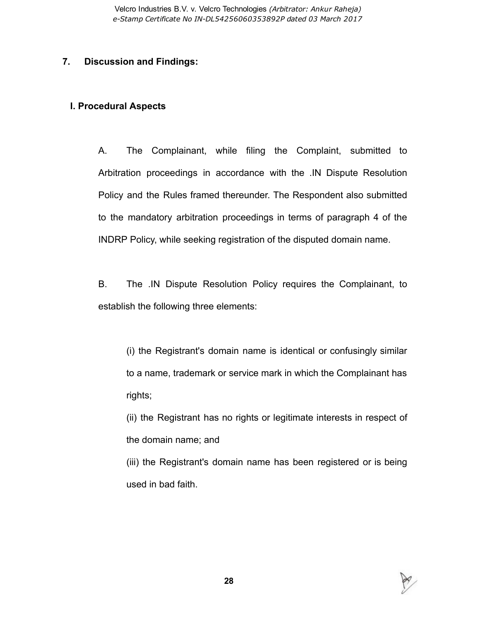## 7. Discussion and Findings:

## I. Procedural Aspects

A. The Complainant, while filing the Complaint, submitted to Arbitration proceedings in accordance with the .IN Dispute Resolution Policy and the Rules framed thereunder. The Respondent also submitted to the mandatory arbitration proceedings in terms of paragraph 4 of the INDRP Policy, while seeking registration of the disputed domain name.

B. The .IN Dispute Resolution Policy requires the Complainant, to establish the following three elements:

(i) the Registrant's domain name is identical or confusingly similar to a name, trademark or service mark in which the Complainant has rights;

(ii) the Registrant has no rights or legitimate interests in respect of the domain name; and

(iii) the Registrant's domain name has been registered or is being used in bad faith.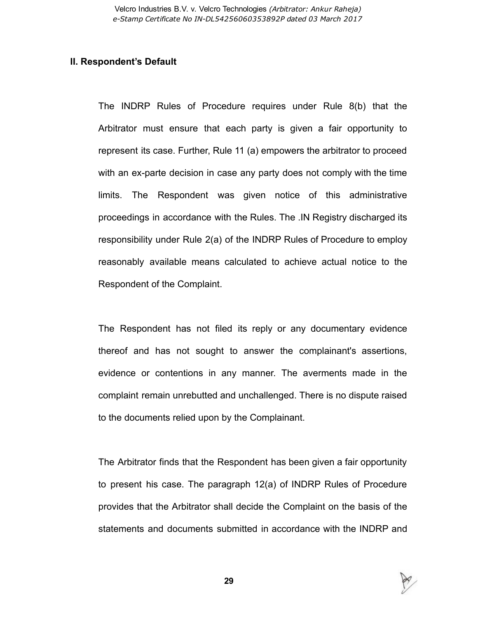#### II. Respondent's Default

The INDRP Rules of Procedure requires under Rule 8(b) that the Arbitrator must ensure that each party is given a fair opportunity to represent its case. Further, Rule 11 (a) empowers the arbitrator to proceed with an ex-parte decision in case any party does not comply with the time limits. The Respondent was given notice of this administrative proceedings in accordance with the Rules. The .IN Registry discharged its responsibility under Rule 2(a) of the INDRP Rules of Procedure to employ reasonably available means calculated to achieve actual notice to the Respondent of the Complaint.

The Respondent has not filed its reply or any documentary evidence thereof and has not sought to answer the complainant's assertions, evidence or contentions in any manner. The averments made in the complaint remain unrebutted and unchallenged. There is no dispute raised to the documents relied upon by the Complainant.

The Arbitrator finds that the Respondent has been given a fair opportunity to present his case. The paragraph 12(a) of INDRP Rules of Procedure provides that the Arbitrator shall decide the Complaint on the basis of the statements and documents submitted in accordance with the INDRP and

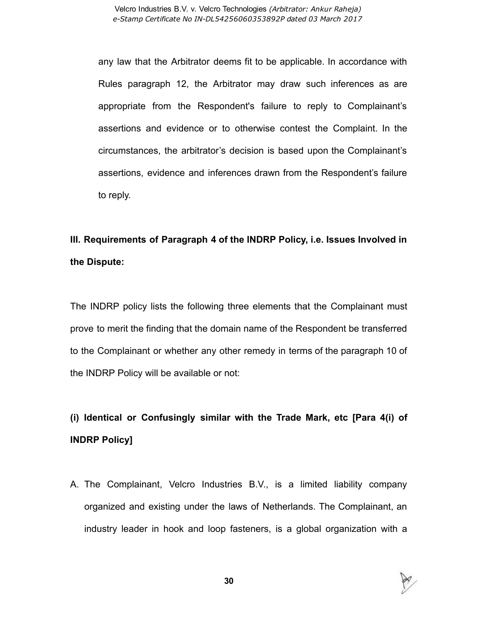any law that the Arbitrator deems fit to be applicable. In accordance with Rules paragraph 12, the Arbitrator may draw such inferences as are appropriate from the Respondent's failure to reply to Complainant's assertions and evidence or to otherwise contest the Complaint. In the circumstances, the arbitrator's decision is based upon the Complainant's assertions, evidence and inferences drawn from the Respondent's failure to reply.

## III. Requirements of Paragraph 4 of the INDRP Policy, i.e. Issues Involved in the Dispute:

The INDRP policy lists the following three elements that the Complainant must prove to merit the finding that the domain name of the Respondent be transferred to the Complainant or whether any other remedy in terms of the paragraph 10 of the INDRP Policy will be available or not:

# (i) Identical or Confusingly similar with the Trade Mark, etc [Para 4(i) of INDRP Policy]

A. The Complainant, Velcro Industries B.V., is a limited liability company organized and existing under the laws of Netherlands. The Complainant, an industry leader in hook and loop fasteners, is a global organization with a

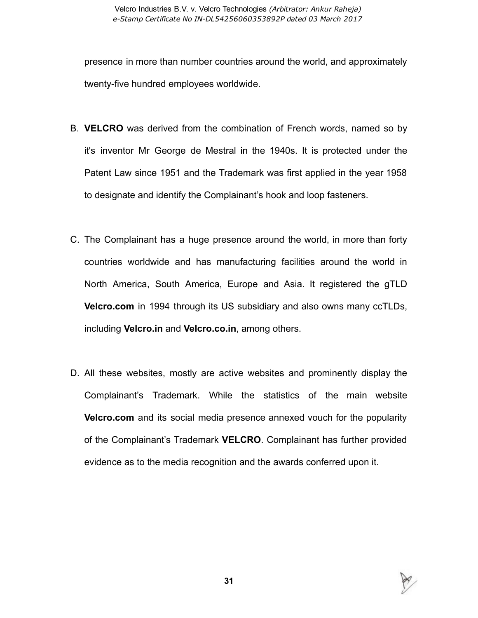presence in more than number countries around the world, and approximately twenty-five hundred employees worldwide.

- B. VELCRO was derived from the combination of French words, named so by it's inventor Mr George de Mestral in the 1940s. It is protected under the Patent Law since 1951 and the Trademark was first applied in the year 1958 to designate and identify the Complainant's hook and loop fasteners.
- C. The Complainant has a huge presence around the world, in more than forty countries worldwide and has manufacturing facilities around the world in North America, South America, Europe and Asia. It registered the gTLD Velcro.com in 1994 through its US subsidiary and also owns many ccTLDs, including Velcro.in and Velcro.co.in, among others.
- D. All these websites, mostly are active websites and prominently display the Complainant's Trademark. While the statistics of the main website **Velcro.com** and its social media presence annexed vouch for the popularity of the Complainant's Trademark VELCRO. Complainant has further provided evidence as to the media recognition and the awards conferred upon it.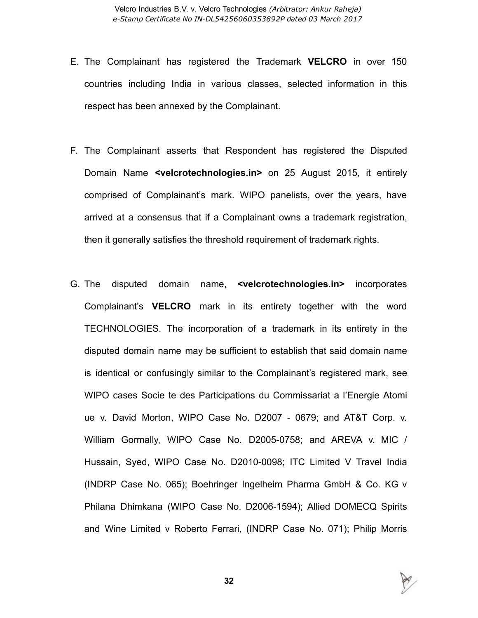- E. The Complainant has registered the Trademark VELCRO in over 150 countries including India in various classes, selected information in this respect has been annexed by the Complainant.
- F. The Complainant asserts that Respondent has registered the Disputed Domain Name <velcrotechnologies.in> on 25 August 2015, it entirely comprised of Complainant's mark. WIPO panelists, over the years, have arrived at a consensus that if a Complainant owns a trademark registration, then it generally satisfies the threshold requirement of trademark rights.
- G. The disputed domain name, <velcrotechnologies.in> incorporates Complainant's VELCRO mark in its entirety together with the word TECHNOLOGIES. The incorporation of a trademark in its entirety in the disputed domain name may be sufficient to establish that said domain name is identical or confusingly similar to the Complainant's registered mark, see WIPO cases Socie te des Participations du Commissariat a l'Energie Atomi ue v. David Morton, WIPO Case No. D2007 - 0679; and AT&T Corp. v. William Gormally, WIPO Case No. D2005-0758; and AREVA v. MIC / Hussain, Syed, WIPO Case No. D2010-0098; ITC Limited V Travel India (INDRP Case No. 065); Boehringer Ingelheim Pharma GmbH & Co. KG v Philana Dhimkana (WIPO Case No. D2006-1594); Allied DOMECQ Spirits and Wine Limited v Roberto Ferrari, (INDRP Case No. 071); Philip Morris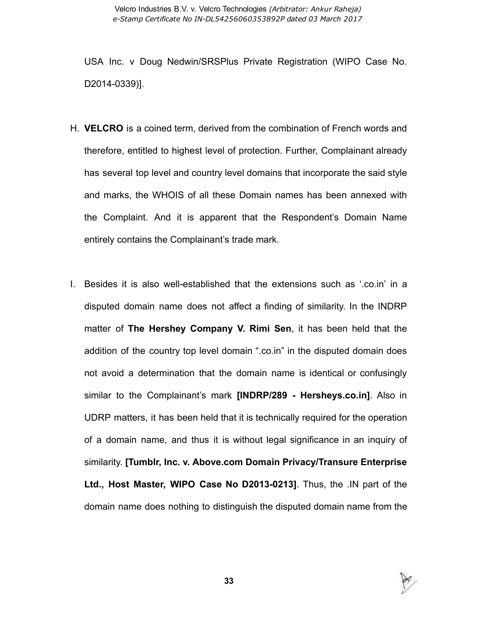USA Inc. v Doug Nedwin/SRSPlus Private Registration (WIPO Case No. D2014-0339)].

- H. VELCRO is a coined term, derived from the combination of French words and therefore, entitled to highest level of protection. Further, Complainant already has several top level and country level domains that incorporate the said style and marks, the WHOIS of all these Domain names has been annexed with the Complaint. And it is apparent that the Respondent's Domain Name entirely contains the Complainant's trade mark.
- I. Besides it is also wellestablished that the extensions such as '.co.in' in a disputed domain name does not affect a finding of similarity. In the INDRP matter of The Hershey Company V. Rimi Sen, it has been held that the addition of the country top level domain ".co.in" in the disputed domain does not avoid a determination that the domain name is identical or confusingly similar to the Complainant's mark **[INDRP/289 - Hersheys.co.in]**. Also in UDRP matters, it has been held that it is technically required for the operation of a domain name, and thus it is without legal significance in an inquiry of similarity. [Tumblr, Inc. v. Above.com Domain Privacy/Transure Enterprise Ltd., Host Master, WIPO Case No D2013-0213]. Thus, the .IN part of the domain name does nothing to distinguish the disputed domain name from the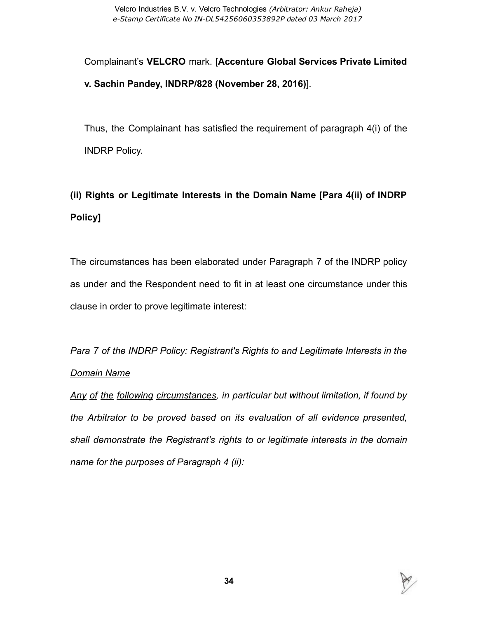Complainant's VELCRO mark. [Accenture Global Services Private Limited v. Sachin Pandey, INDRP/828 (November 28, 2016)].

Thus, the Complainant has satisfied the requirement of paragraph 4(i) of the INDRP Policy.

# (ii) Rights or Legitimate Interests in the Domain Name [Para 4(ii) of INDRP Policy]

The circumstances has been elaborated under Paragraph 7 of the INDRP policy as under and the Respondent need to fit in at least one circumstance under this clause in order to prove legitimate interest:

# Para 7 of the INDRP Policy: Registrant's Rights to and Legitimate Interests in the Domain Name

Any of the following circumstances, in particular but without limitation, if found by the Arbitrator to be proved based on its evaluation of all evidence presented, shall demonstrate the Registrant's rights to or legitimate interests in the domain name for the purposes of Paragraph 4 (ii):

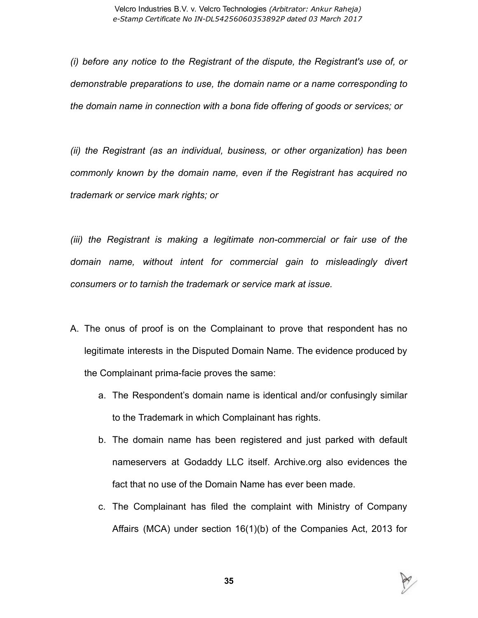(i) before any notice to the Registrant of the dispute, the Registrant's use of, or demonstrable preparations to use, the domain name or a name corresponding to the domain name in connection with a bona fide offering of goods or services; or

(ii) the Registrant (as an individual, business, or other organization) has been commonly known by the domain name, even if the Registrant has acquired no trademark or service mark rights; or

(iii) the Registrant is making a legitimate non-commercial or fair use of the domain name, without intent for commercial gain to misleadingly divert consumers or to tarnish the trademark or service mark at issue.

- A. The onus of proof is on the Complainant to prove that respondent has no legitimate interests in the Disputed Domain Name. The evidence produced by the Complainant prima-facie proves the same:
	- a. The Respondent's domain name is identical and/or confusingly similar to the Trademark in which Complainant has rights.
	- b. The domain name has been registered and just parked with default nameservers at Godaddy LLC itself. Archive.org also evidences the fact that no use of the Domain Name has ever been made.
	- c. The Complainant has filed the complaint with Ministry of Company Affairs (MCA) under section 16(1)(b) of the Companies Act, 2013 for

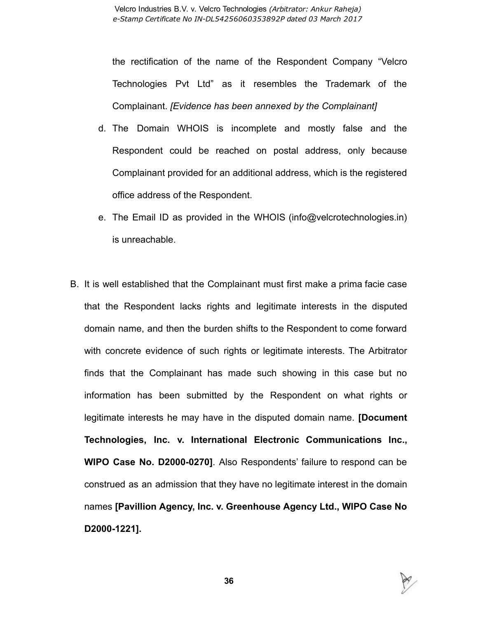the rectification of the name of the Respondent Company "Velcro Technologies Pvt Ltd" as it resembles the Trademark of the Complainant. [Evidence has been annexed by the Complainant]

- d. The Domain WHOIS is incomplete and mostly false and the Respondent could be reached on postal address, only because Complainant provided for an additional address, which is the registered office address of the Respondent.
- e. The Email ID as provided in the WHOIS (info@velcrotechnologies.in) is unreachable.
- B. It is well established that the Complainant must first make a prima facie case that the Respondent lacks rights and legitimate interests in the disputed domain name, and then the burden shifts to the Respondent to come forward with concrete evidence of such rights or legitimate interests. The Arbitrator finds that the Complainant has made such showing in this case but no information has been submitted by the Respondent on what rights or legitimate interests he may have in the disputed domain name. [Document Technologies, Inc. v. International Electronic Communications Inc., WIPO Case No. D2000-0270]. Also Respondents' failure to respond can be construed as an admission that they have no legitimate interest in the domain names [Pavillion Agency, Inc. v. Greenhouse Agency Ltd., WIPO Case No D2000-1221].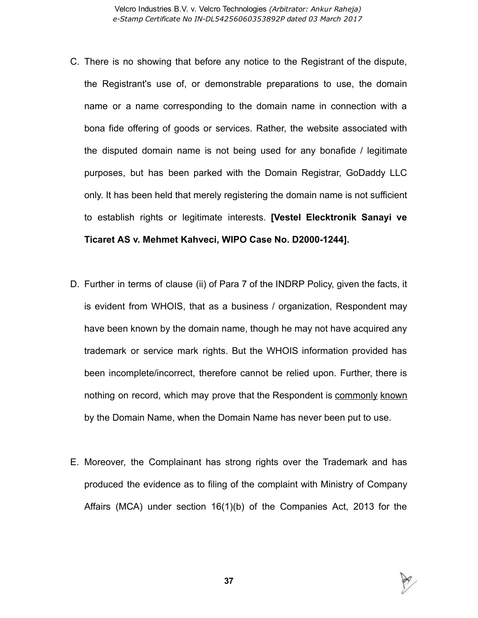- C. There is no showing that before any notice to the Registrant of the dispute, the Registrant's use of, or demonstrable preparations to use, the domain name or a name corresponding to the domain name in connection with a bona fide offering of goods or services. Rather, the website associated with the disputed domain name is not being used for any bonafide / legitimate purposes, but has been parked with the Domain Registrar, GoDaddy LLC only. It has been held that merely registering the domain name is not sufficient to establish rights or legitimate interests. [Vestel Elecktronik Sanayi ve Ticaret AS v. Mehmet Kahveci, WIPO Case No. D2000-1244].
- D. Further in terms of clause (ii) of Para 7 of the INDRP Policy, given the facts, it is evident from WHOIS, that as a business / organization, Respondent may have been known by the domain name, though he may not have acquired any trademark or service mark rights. But the WHOIS information provided has been incomplete/incorrect, therefore cannot be relied upon. Further, there is nothing on record, which may prove that the Respondent is commonly known by the Domain Name, when the Domain Name has never been put to use.
- E. Moreover, the Complainant has strong rights over the Trademark and has produced the evidence as to filing of the complaint with Ministry of Company Affairs (MCA) under section 16(1)(b) of the Companies Act, 2013 for the

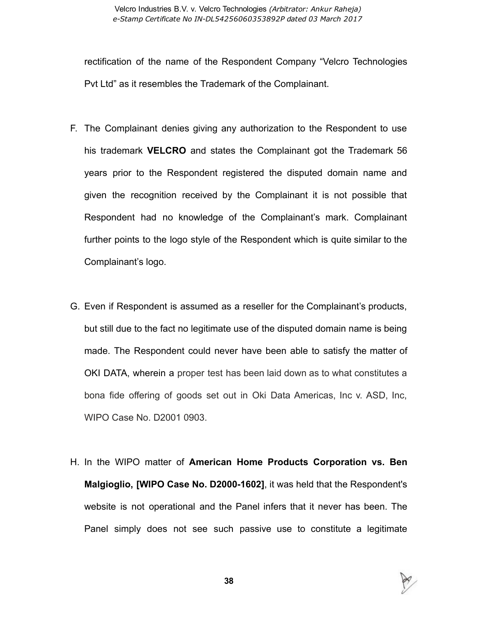rectification of the name of the Respondent Company "Velcro Technologies Pvt Ltd" as it resembles the Trademark of the Complainant.

- F. The Complainant denies giving any authorization to the Respondent to use his trademark VELCRO and states the Complainant got the Trademark 56 years prior to the Respondent registered the disputed domain name and given the recognition received by the Complainant it is not possible that Respondent had no knowledge of the Complainant's mark. Complainant further points to the logo style of the Respondent which is quite similar to the Complainant's logo.
- G. Even if Respondent is assumed as a reseller for the Complainant's products, but still due to the fact no legitimate use of the disputed domain name is being made. The Respondent could never have been able to satisfy the matter of OKI DATA, wherein a proper test has been laid down as to what constitutes a bona fide offering of goods set out in Oki Data Americas, Inc v. ASD, Inc, WIPO Case No. D2001 0903.
- H. In the WIPO matter of American Home Products Corporation vs. Ben Malgioglio, [WIPO Case No. D2000-1602], it was held that the Respondent's website is not operational and the Panel infers that it never has been. The Panel simply does not see such passive use to constitute a legitimate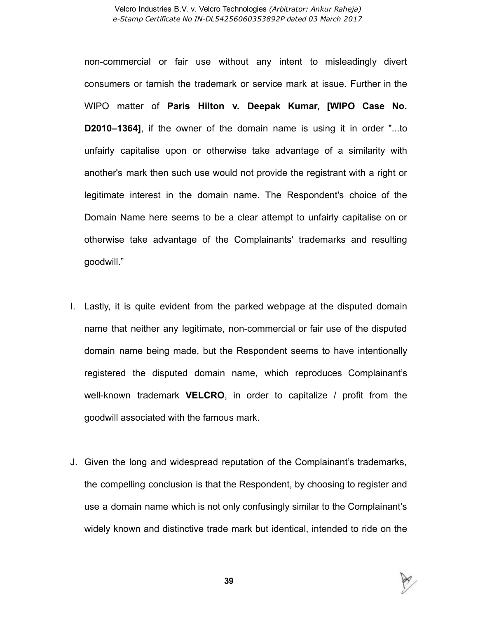non-commercial or fair use without any intent to misleadingly divert consumers or tarnish the trademark or service mark at issue. Further in the WIPO matter of Paris Hilton v. Deepak Kumar, [WIPO Case No. D2010–1364], if the owner of the domain name is using it in order "...to unfairly capitalise upon or otherwise take advantage of a similarity with another's mark then such use would not provide the registrant with a right or legitimate interest in the domain name. The Respondent's choice of the Domain Name here seems to be a clear attempt to unfairly capitalise on or otherwise take advantage of the Complainants' trademarks and resulting goodwill."

- I. Lastly, it is quite evident from the parked webpage at the disputed domain name that neither any legitimate, non-commercial or fair use of the disputed domain name being made, but the Respondent seems to have intentionally registered the disputed domain name, which reproduces Complainant's well-known trademark **VELCRO**, in order to capitalize  $\ell$  profit from the goodwill associated with the famous mark.
- J. Given the long and widespread reputation of the Complainant's trademarks, the compelling conclusion is that the Respondent, by choosing to register and use a domain name which is not only confusingly similar to the Complainant's widely known and distinctive trade mark but identical, intended to ride on the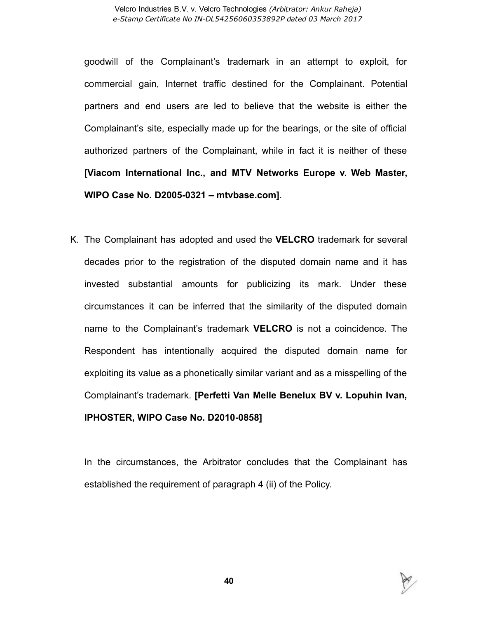goodwill of the Complainant's trademark in an attempt to exploit, for commercial gain, Internet traffic destined for the Complainant. Potential partners and end users are led to believe that the website is either the Complainant's site, especially made up for the bearings, or the site of official authorized partners of the Complainant, while in fact it is neither of these [Viacom International Inc., and MTV Networks Europe v. Web Master, WIPO Case No. D2005-0321 – mtvbase.com].

K. The Complainant has adopted and used the VELCRO trademark for several decades prior to the registration of the disputed domain name and it has invested substantial amounts for publicizing its mark. Under these circumstances it can be inferred that the similarity of the disputed domain name to the Complainant's trademark VELCRO is not a coincidence. The Respondent has intentionally acquired the disputed domain name for exploiting its value as a phonetically similar variant and as a misspelling of the Complainant's trademark. [Perfetti Van Melle Benelux BV v. Lopuhin Ivan, **IPHOSTER, WIPO Case No. D2010-08581** 

In the circumstances, the Arbitrator concludes that the Complainant has established the requirement of paragraph 4 (ii) of the Policy.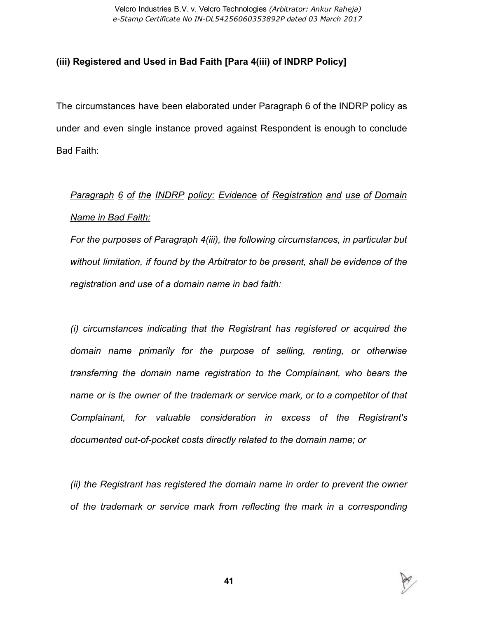## (iii) Registered and Used in Bad Faith [Para 4(iii) of INDRP Policy]

The circumstances have been elaborated under Paragraph 6 of the INDRP policy as under and even single instance proved against Respondent is enough to conclude Bad Faith:

Paragraph 6 of the INDRP policy: Evidence of Registration and use of Domain Name in Bad Faith:

For the purposes of Paragraph 4(iii), the following circumstances, in particular but without limitation, if found by the Arbitrator to be present, shall be evidence of the registration and use of a domain name in bad faith:

(i) circumstances indicating that the Registrant has registered or acquired the domain name primarily for the purpose of selling, renting, or otherwise transferring the domain name registration to the Complainant, who bears the name or is the owner of the trademark or service mark, or to a competitor of that Complainant, for valuable consideration in excess of the Registrant's documented out-of-pocket costs directly related to the domain name; or

(ii) the Registrant has registered the domain name in order to prevent the owner of the trademark or service mark from reflecting the mark in a corresponding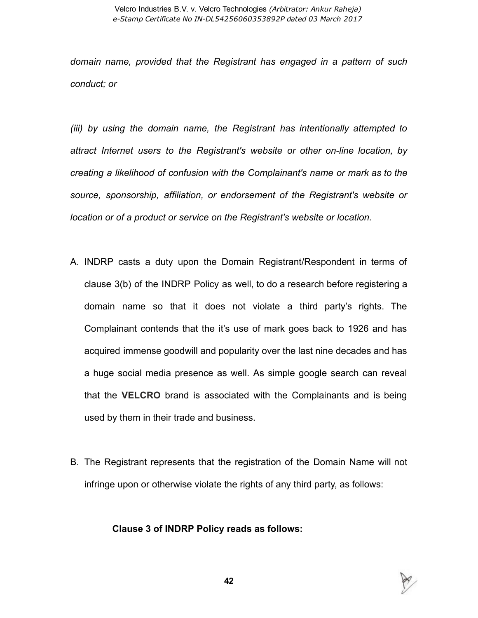domain name, provided that the Registrant has engaged in a pattern of such conduct; or

(iii) by using the domain name, the Registrant has intentionally attempted to attract Internet users to the Registrant's website or other on-line location, by creating a likelihood of confusion with the Complainant's name or mark as to the source, sponsorship, affiliation, or endorsement of the Registrant's website or location or of a product or service on the Registrant's website or location.

- A. INDRP casts a duty upon the Domain Registrant/Respondent in terms of clause 3(b) of the INDRP Policy as well, to do a research before registering a domain name so that it does not violate a third party's rights. The Complainant contends that the it's use of mark goes back to 1926 and has acquired immense goodwill and popularity over the last nine decades and has a huge social media presence as well. As simple google search can reveal that the VELCRO brand is associated with the Complainants and is being used by them in their trade and business.
- B. The Registrant represents that the registration of the Domain Name will not infringe upon or otherwise violate the rights of any third party, as follows:

## Clause 3 of INDRP Policy reads as follows: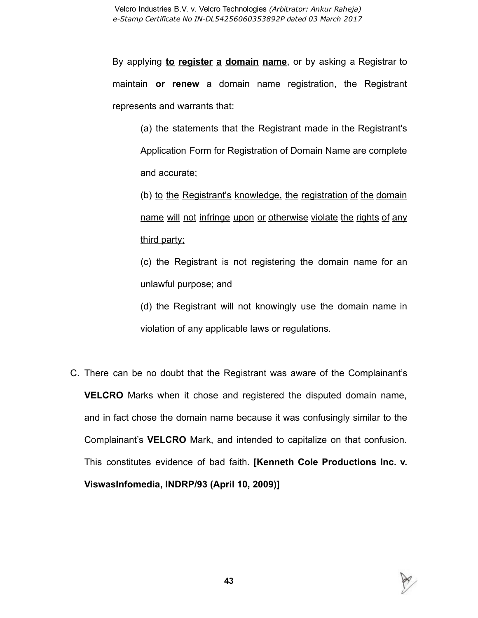By applying to register a domain name, or by asking a Registrar to maintain or renew a domain name registration, the Registrant represents and warrants that:

(a) the statements that the Registrant made in the Registrant's Application Form for Registration of Domain Name are complete and accurate;

(b) to the Registrant's knowledge, the registration of the domain name will not infringe upon or otherwise violate the rights of any third party;

(c) the Registrant is not registering the domain name for an unlawful purpose; and

(d) the Registrant will not knowingly use the domain name in violation of any applicable laws or regulations.

C. There can be no doubt that the Registrant was aware of the Complainant's VELCRO Marks when it chose and registered the disputed domain name, and in fact chose the domain name because it was confusingly similar to the Complainant's VELCRO Mark, and intended to capitalize on that confusion. This constitutes evidence of bad faith. [Kenneth Cole Productions Inc. v. ViswasInfomedia, INDRP/93 (April 10, 2009)]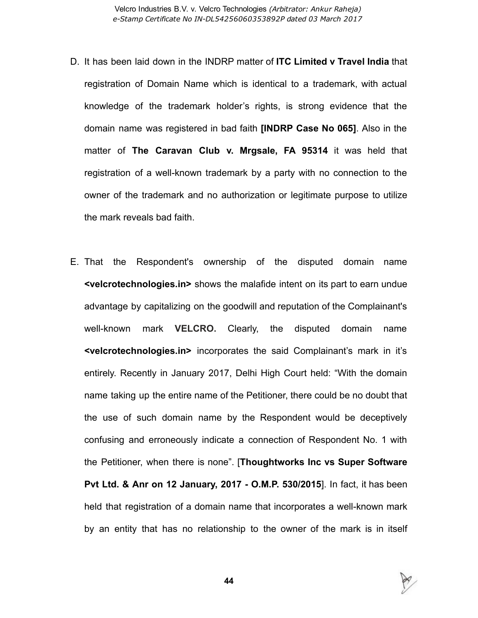- D. It has been laid down in the INDRP matter of **ITC Limited v Travel India** that registration of Domain Name which is identical to a trademark, with actual knowledge of the trademark holder's rights, is strong evidence that the domain name was registered in bad faith [INDRP Case No 065]. Also in the matter of The Caravan Club v. Mrgsale, FA 95314 it was held that registration of a well-known trademark by a party with no connection to the owner of the trademark and no authorization or legitimate purpose to utilize the mark reveals bad faith.
- E. That the Respondent's ownership of the disputed domain name <velcrotechnologies.in> shows the malafide intent on its part to earn undue advantage by capitalizing on the goodwill and reputation of the Complainant's well-known mark VELCRO. Clearly, the disputed domain name <velcrotechnologies.in> incorporates the said Complainant's mark in it's entirely. Recently in January 2017, Delhi High Court held: "With the domain name taking up the entire name of the Petitioner, there could be no doubt that the use of such domain name by the Respondent would be deceptively confusing and erroneously indicate a connection of Respondent No. 1 with the Petitioner, when there is none". [Thoughtworks Inc vs Super Software Pvt Ltd. & Anr on 12 January, 2017 O.M.P. 530/2015]. In fact, it has been held that registration of a domain name that incorporates a well-known mark by an entity that has no relationship to the owner of the mark is in itself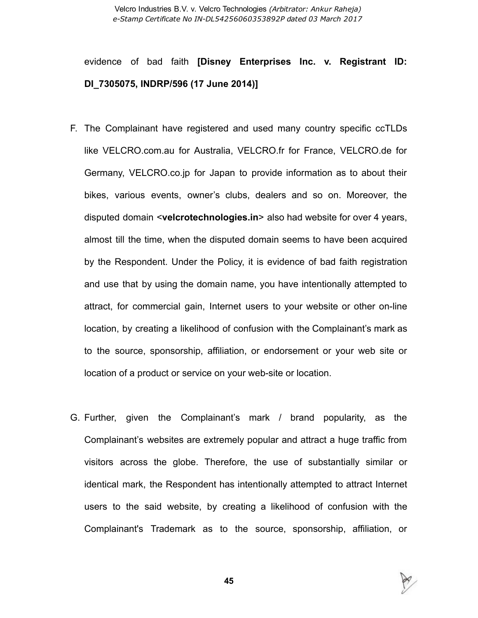evidence of bad faith [Disney Enterprises Inc. v. Registrant ID: DI\_7305075, INDRP/596 (17 June 2014)]

- F. The Complainant have registered and used many country specific ccTLDs like VELCRO.com.au for Australia, VELCRO.fr for France, VELCRO.de for Germany, VELCRO.co.jp for Japan to provide information as to about their bikes, various events, owner's clubs, dealers and so on. Moreover, the disputed domain <velcrotechnologies.in> also had website for over 4 years, almost till the time, when the disputed domain seems to have been acquired by the Respondent. Under the Policy, it is evidence of bad faith registration and use that by using the domain name, you have intentionally attempted to attract, for commercial gain, Internet users to your website or other on-line location, by creating a likelihood of confusion with the Complainant's mark as to the source, sponsorship, affiliation, or endorsement or your web site or location of a product or service on your web-site or location.
- G. Further, given the Complainant's mark / brand popularity, as the Complainant's websites are extremely popular and attract a huge traffic from visitors across the globe. Therefore, the use of substantially similar or identical mark, the Respondent has intentionally attempted to attract Internet users to the said website, by creating a likelihood of confusion with the Complainant's Trademark as to the source, sponsorship, affiliation, or

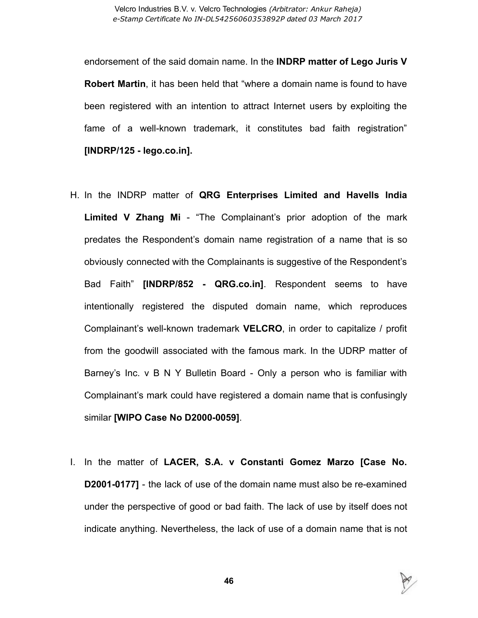endorsement of the said domain name. In the INDRP matter of Lego Juris V Robert Martin, it has been held that "where a domain name is found to have been registered with an intention to attract Internet users by exploiting the fame of a well-known trademark, it constitutes bad faith registration"  $[INDEXP/125 - lego.co.in]$ .

- H. In the INDRP matter of QRG Enterprises Limited and Havells India Limited V Zhang Mi - "The Complainant's prior adoption of the mark predates the Respondent's domain name registration of a name that is so obviously connected with the Complainants is suggestive of the Respondent's Bad Faith" [INDRP/852 - QRG.co.in]. Respondent seems to have intentionally registered the disputed domain name, which reproduces Complainant's well-known trademark VELCRO, in order to capitalize / profit from the goodwill associated with the famous mark. In the UDRP matter of Barney's Inc. v B N Y Bulletin Board - Only a person who is familiar with Complainant's mark could have registered a domain name that is confusingly similar [WIPO Case No D2000-0059].
- I. In the matter of LACER, S.A. v Constanti Gomez Marzo [Case No. **D2001-0177]** - the lack of use of the domain name must also be re-examined under the perspective of good or bad faith. The lack of use by itself does not indicate anything. Nevertheless, the lack of use of a domain name that is not

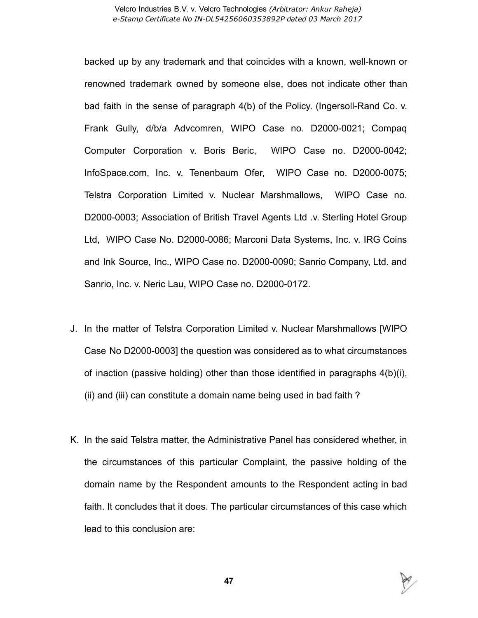backed up by any trademark and that coincides with a known, well-known or renowned trademark owned by someone else, does not indicate other than bad faith in the sense of paragraph  $4(b)$  of the Policy. (Ingersoll-Rand Co. v. Frank Gully, d/b/a Advcomren, WIPO Case no. D2000-0021; Compaq Computer Corporation v. Boris Beric, WIPO Case no. D2000-0042; InfoSpace.com, Inc. v. Tenenbaum Ofer, WIPO Case no. D2000-0075; Telstra Corporation Limited v. Nuclear Marshmallows, WIPO Case no. D2000-0003; Association of British Travel Agents Ltd .v. Sterling Hotel Group Ltd, WIPO Case No. D2000-0086; Marconi Data Systems, Inc. v. IRG Coins and Ink Source, Inc., WIPO Case no. D2000-0090; Sanrio Company, Ltd. and Sanrio, Inc. v. Neric Lau, WIPO Case no. D2000-0172.

- J. In the matter of Telstra Corporation Limited v. Nuclear Marshmallows [WIPO Case No D2000-0003] the question was considered as to what circumstances of inaction (passive holding) other than those identified in paragraphs 4(b)(i), (ii) and (iii) can constitute a domain name being used in bad faith ?
- K. In the said Telstra matter, the Administrative Panel has considered whether, in the circumstances of this particular Complaint, the passive holding of the domain name by the Respondent amounts to the Respondent acting in bad faith. It concludes that it does. The particular circumstances of this case which lead to this conclusion are:

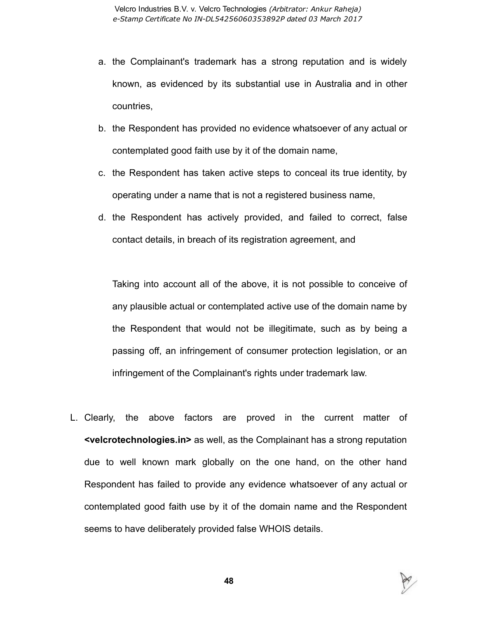- a. the Complainant's trademark has a strong reputation and is widely known, as evidenced by its substantial use in Australia and in other countries,
- b. the Respondent has provided no evidence whatsoever of any actual or contemplated good faith use by it of the domain name,
- c. the Respondent has taken active steps to conceal its true identity, by operating under a name that is not a registered business name,
- d. the Respondent has actively provided, and failed to correct, false contact details, in breach of its registration agreement, and

Taking into account all of the above, it is not possible to conceive of any plausible actual or contemplated active use of the domain name by the Respondent that would not be illegitimate, such as by being a passing off, an infringement of consumer protection legislation, or an infringement of the Complainant's rights under trademark law.

L. Clearly, the above factors are proved in the current matter of <velcrotechnologies.in> as well, as the Complainant has a strong reputation due to well known mark globally on the one hand, on the other hand Respondent has failed to provide any evidence whatsoever of any actual or contemplated good faith use by it of the domain name and the Respondent seems to have deliberately provided false WHOIS details.

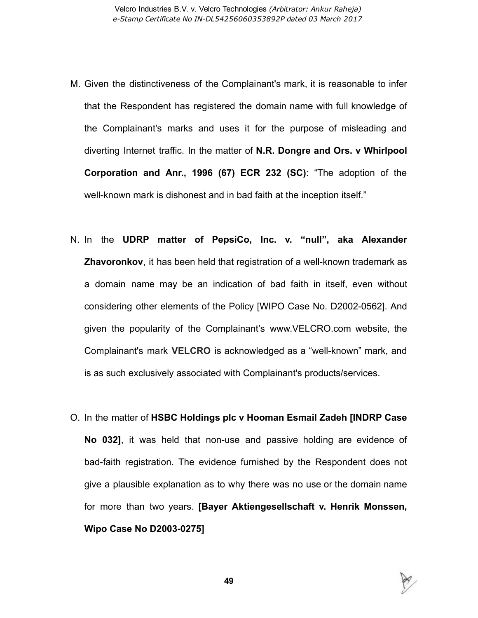- M. Given the distinctiveness of the Complainant's mark, it is reasonable to infer that the Respondent has registered the domain name with full knowledge of the Complainant's marks and uses it for the purpose of misleading and diverting Internet traffic. In the matter of N.R. Dongre and Ors. v Whirlpool Corporation and Anr., 1996 (67) ECR 232 (SC): "The adoption of the well-known mark is dishonest and in bad faith at the inception itself."
- N. In the UDRP matter of PepsiCo, Inc. v. "null", aka Alexander **Zhavoronkov**, it has been held that registration of a well-known trademark as a domain name may be an indication of bad faith in itself, even without considering other elements of the Policy [WIPO Case No. D2002-0562]. And given the popularity of the Complainant's www.VELCRO.com website, the Complainant's mark VELCRO is acknowledged as a "well-known" mark, and is as such exclusively associated with Complainant's products/services.
- O. In the matter of HSBC Holdings plc v Hooman Esmail Zadeh [INDRP Case No 032], it was held that non-use and passive holding are evidence of bad-faith registration. The evidence furnished by the Respondent does not give a plausible explanation as to why there was no use or the domain name for more than two years. [Bayer Aktiengesellschaft v. Henrik Monssen, Wipo Case No D2003-0275]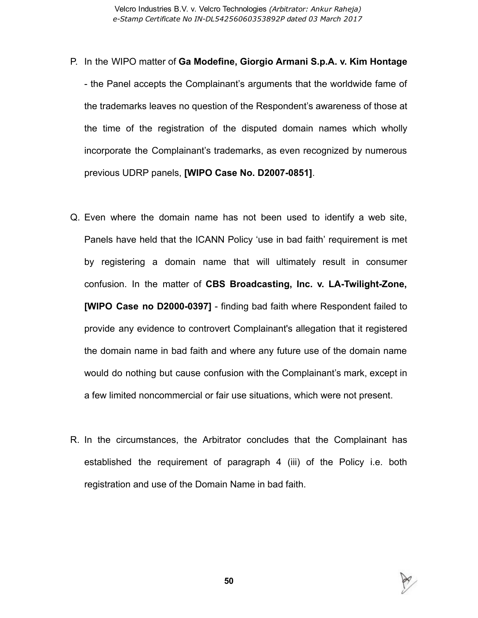- P. In the WIPO matter of Ga Modefine, Giorgio Armani S.p.A. v. Kim Hontage the Panel accepts the Complainant's arguments that the worldwide fame of the trademarks leaves no question of the Respondent's awareness of those at the time of the registration of the disputed domain names which wholly incorporate the Complainant's trademarks, as even recognized by numerous previous UDRP panels, [WIPO Case No. D2007-0851].
- Q. Even where the domain name has not been used to identify a web site, Panels have held that the ICANN Policy 'use in bad faith' requirement is met by registering a domain name that will ultimately result in consumer confusion. In the matter of CBS Broadcasting, Inc. v. LA-Twilight-Zone, [WIPO Case no D2000-0397] - finding bad faith where Respondent failed to provide any evidence to controvert Complainant's allegation that it registered the domain name in bad faith and where any future use of the domain name would do nothing but cause confusion with the Complainant's mark, except in a few limited noncommercial or fair use situations, which were not present.
- R. In the circumstances, the Arbitrator concludes that the Complainant has established the requirement of paragraph 4 (iii) of the Policy i.e. both registration and use of the Domain Name in bad faith.